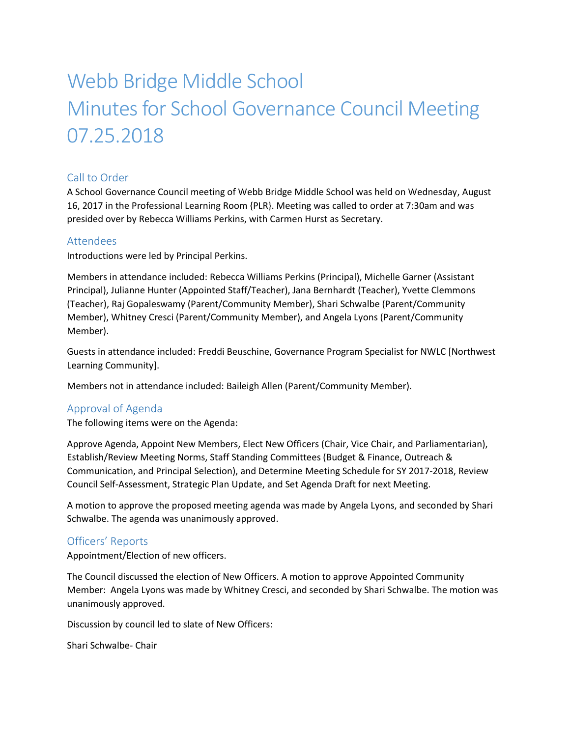# Webb Bridge Middle School Minutes for School Governance Council Meeting 07.25.2018

## Call to Order

A School Governance Council meeting of Webb Bridge Middle School was held on Wednesday, August 16, 2017 in the Professional Learning Room {PLR}. Meeting was called to order at 7:30am and was presided over by Rebecca Williams Perkins, with Carmen Hurst as Secretary.

#### Attendees

Introductions were led by Principal Perkins.

Members in attendance included: Rebecca Williams Perkins (Principal), Michelle Garner (Assistant Principal), Julianne Hunter (Appointed Staff/Teacher), Jana Bernhardt (Teacher), Yvette Clemmons (Teacher), Raj Gopaleswamy (Parent/Community Member), Shari Schwalbe (Parent/Community Member), Whitney Cresci (Parent/Community Member), and Angela Lyons (Parent/Community Member).

Guests in attendance included: Freddi Beuschine, Governance Program Specialist for NWLC [Northwest Learning Community].

Members not in attendance included: Baileigh Allen (Parent/Community Member).

## Approval of Agenda

The following items were on the Agenda:

Approve Agenda, Appoint New Members, Elect New Officers (Chair, Vice Chair, and Parliamentarian), Establish/Review Meeting Norms, Staff Standing Committees (Budget & Finance, Outreach & Communication, and Principal Selection), and Determine Meeting Schedule for SY 2017-2018, Review Council Self-Assessment, Strategic Plan Update, and Set Agenda Draft for next Meeting.

A motion to approve the proposed meeting agenda was made by Angela Lyons, and seconded by Shari Schwalbe. The agenda was unanimously approved.

#### Officers' Reports

Appointment/Election of new officers.

The Council discussed the election of New Officers. A motion to approve Appointed Community Member: Angela Lyons was made by Whitney Cresci, and seconded by Shari Schwalbe. The motion was unanimously approved.

Discussion by council led to slate of New Officers:

Shari Schwalbe- Chair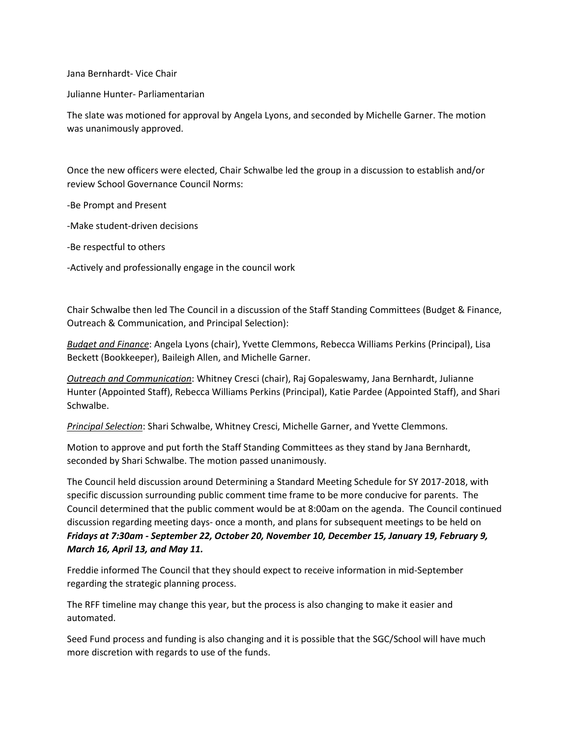Jana Bernhardt- Vice Chair

Julianne Hunter- Parliamentarian

The slate was motioned for approval by Angela Lyons, and seconded by Michelle Garner. The motion was unanimously approved.

Once the new officers were elected, Chair Schwalbe led the group in a discussion to establish and/or review School Governance Council Norms:

-Be Prompt and Present

-Make student-driven decisions

-Be respectful to others

-Actively and professionally engage in the council work

Chair Schwalbe then led The Council in a discussion of the Staff Standing Committees (Budget & Finance, Outreach & Communication, and Principal Selection):

*Budget and Finance*: Angela Lyons (chair), Yvette Clemmons, Rebecca Williams Perkins (Principal), Lisa Beckett (Bookkeeper), Baileigh Allen, and Michelle Garner.

*Outreach and Communication*: Whitney Cresci (chair), Raj Gopaleswamy, Jana Bernhardt, Julianne Hunter (Appointed Staff), Rebecca Williams Perkins (Principal), Katie Pardee (Appointed Staff), and Shari Schwalbe.

*Principal Selection*: Shari Schwalbe, Whitney Cresci, Michelle Garner, and Yvette Clemmons.

Motion to approve and put forth the Staff Standing Committees as they stand by Jana Bernhardt, seconded by Shari Schwalbe. The motion passed unanimously.

The Council held discussion around Determining a Standard Meeting Schedule for SY 2017-2018, with specific discussion surrounding public comment time frame to be more conducive for parents. The Council determined that the public comment would be at 8:00am on the agenda. The Council continued discussion regarding meeting days- once a month, and plans for subsequent meetings to be held on *Fridays at 7:30am - September 22, October 20, November 10, December 15, January 19, February 9, March 16, April 13, and May 11.*

Freddie informed The Council that they should expect to receive information in mid-September regarding the strategic planning process.

The RFF timeline may change this year, but the process is also changing to make it easier and automated.

Seed Fund process and funding is also changing and it is possible that the SGC/School will have much more discretion with regards to use of the funds.